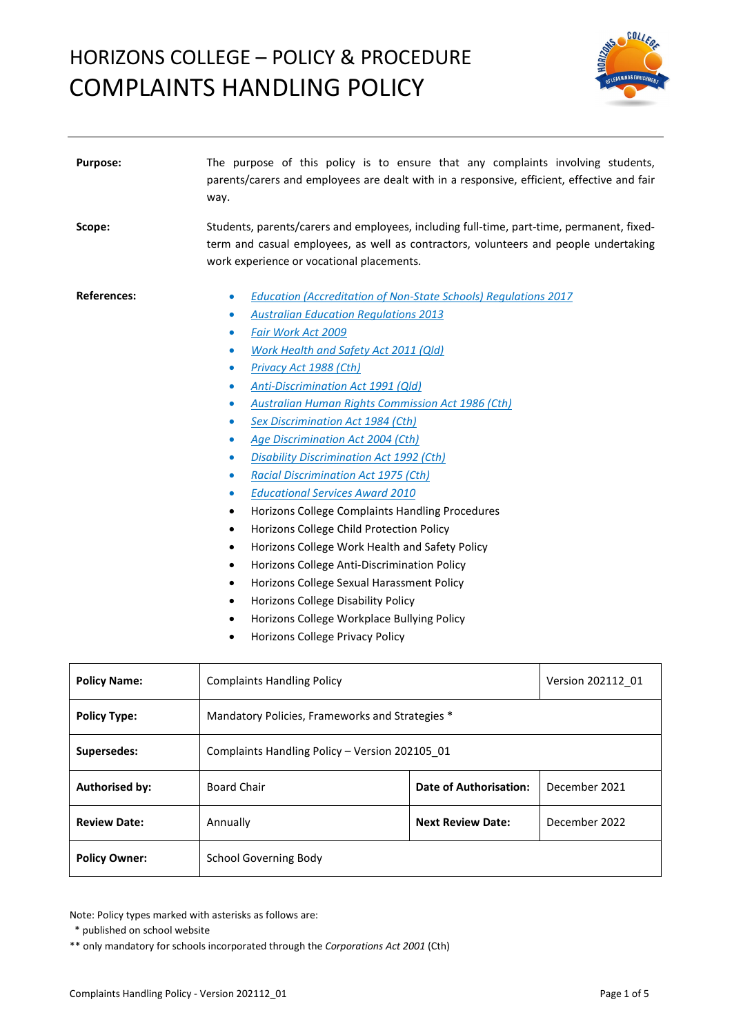

| Purpose:              | The purpose of this policy is to ensure that any complaints involving students,<br>parents/carers and employees are dealt with in a responsive, efficient, effective and fair<br>way.                                                                                                                                                                                                                                                                                                                                                                                                                                                                                                                                                                                                                                                                                                                                                                                                                                                                                |                               |                   |
|-----------------------|----------------------------------------------------------------------------------------------------------------------------------------------------------------------------------------------------------------------------------------------------------------------------------------------------------------------------------------------------------------------------------------------------------------------------------------------------------------------------------------------------------------------------------------------------------------------------------------------------------------------------------------------------------------------------------------------------------------------------------------------------------------------------------------------------------------------------------------------------------------------------------------------------------------------------------------------------------------------------------------------------------------------------------------------------------------------|-------------------------------|-------------------|
| Scope:                | Students, parents/carers and employees, including full-time, part-time, permanent, fixed-<br>term and casual employees, as well as contractors, volunteers and people undertaking<br>work experience or vocational placements.                                                                                                                                                                                                                                                                                                                                                                                                                                                                                                                                                                                                                                                                                                                                                                                                                                       |                               |                   |
| <b>References:</b>    | <b>Education (Accreditation of Non-State Schools) Regulations 2017</b><br>۰<br><b>Australian Education Regulations 2013</b><br>$\bullet$<br>Fair Work Act 2009<br>$\bullet$<br>Work Health and Safety Act 2011 (Qld)<br>۰<br>Privacy Act 1988 (Cth)<br>$\bullet$<br><b>Anti-Discrimination Act 1991 (Qld)</b><br>۰<br><b>Australian Human Rights Commission Act 1986 (Cth)</b><br>۰<br><b>Sex Discrimination Act 1984 (Cth)</b><br>۰<br><b>Age Discrimination Act 2004 (Cth)</b><br>$\bullet$<br><b>Disability Discrimination Act 1992 (Cth)</b><br>۰<br><b>Racial Discrimination Act 1975 (Cth)</b><br>۰<br><b>Educational Services Award 2010</b><br>۰<br>Horizons College Complaints Handling Procedures<br>٠<br>Horizons College Child Protection Policy<br>٠<br>Horizons College Work Health and Safety Policy<br>٠<br>Horizons College Anti-Discrimination Policy<br>٠<br>Horizons College Sexual Harassment Policy<br>٠<br>Horizons College Disability Policy<br>٠<br>Horizons College Workplace Bullying Policy<br>٠<br>Horizons College Privacy Policy<br>٠ |                               |                   |
| <b>Policy Name:</b>   | <b>Complaints Handling Policy</b>                                                                                                                                                                                                                                                                                                                                                                                                                                                                                                                                                                                                                                                                                                                                                                                                                                                                                                                                                                                                                                    |                               | Version 202112_01 |
| <b>Policy Type:</b>   | Mandatory Policies, Frameworks and Strategies *                                                                                                                                                                                                                                                                                                                                                                                                                                                                                                                                                                                                                                                                                                                                                                                                                                                                                                                                                                                                                      |                               |                   |
| Supersedes:           | Complaints Handling Policy - Version 202105_01                                                                                                                                                                                                                                                                                                                                                                                                                                                                                                                                                                                                                                                                                                                                                                                                                                                                                                                                                                                                                       |                               |                   |
| <b>Authorised by:</b> | <b>Board Chair</b>                                                                                                                                                                                                                                                                                                                                                                                                                                                                                                                                                                                                                                                                                                                                                                                                                                                                                                                                                                                                                                                   | <b>Date of Authorisation:</b> | December 2021     |
| <b>Review Date:</b>   | Annually                                                                                                                                                                                                                                                                                                                                                                                                                                                                                                                                                                                                                                                                                                                                                                                                                                                                                                                                                                                                                                                             | <b>Next Review Date:</b>      | December 2022     |

Note: Policy types marked with asterisks as follows are:

**Policy Owner:** School Governing Body

 <sup>\*</sup> published on school website

<sup>\*\*</sup> only mandatory for schools incorporated through the *Corporations Act 2001* (Cth)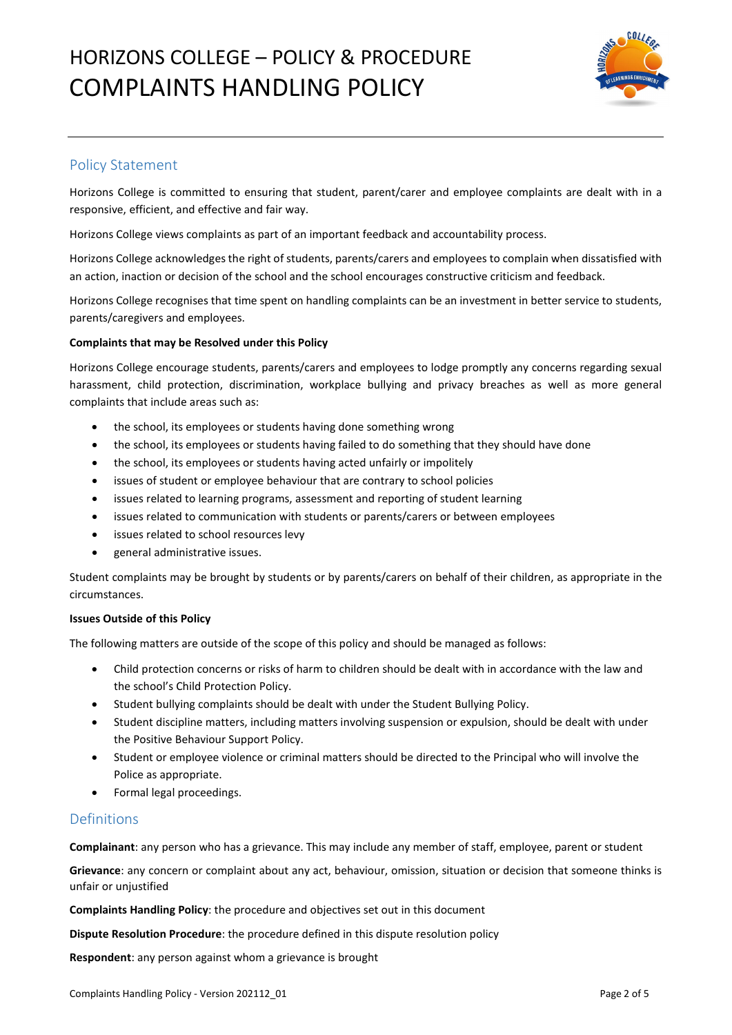

# Policy Statement

Horizons College is committed to ensuring that student, parent/carer and employee complaints are dealt with in a responsive, efficient, and effective and fair way.

Horizons College views complaints as part of an important feedback and accountability process.

Horizons College acknowledges the right of students, parents/carers and employees to complain when dissatisfied with an action, inaction or decision of the school and the school encourages constructive criticism and feedback.

Horizons College recognises that time spent on handling complaints can be an investment in better service to students, parents/caregivers and employees.

### **Complaints that may be Resolved under this Policy**

Horizons College encourage students, parents/carers and employees to lodge promptly any concerns regarding sexual harassment, child protection, discrimination, workplace bullying and privacy breaches as well as more general complaints that include areas such as:

- the school, its employees or students having done something wrong
- the school, its employees or students having failed to do something that they should have done
- the school, its employees or students having acted unfairly or impolitely
- issues of student or employee behaviour that are contrary to school policies
- issues related to learning programs, assessment and reporting of student learning
- issues related to communication with students or parents/carers or between employees
- issues related to school resources levy
- general administrative issues.

Student complaints may be brought by students or by parents/carers on behalf of their children, as appropriate in the circumstances.

#### **Issues Outside of this Policy**

The following matters are outside of the scope of this policy and should be managed as follows:

- Child protection concerns or risks of harm to children should be dealt with in accordance with the law and the school's Child Protection Policy.
- Student bullying complaints should be dealt with under the Student Bullying Policy.
- Student discipline matters, including matters involving suspension or expulsion, should be dealt with under the Positive Behaviour Support Policy.
- Student or employee violence or criminal matters should be directed to the Principal who will involve the Police as appropriate.
- Formal legal proceedings.

## Definitions

**Complainant**: any person who has a grievance. This may include any member of staff, employee, parent or student

**Grievance**: any concern or complaint about any act, behaviour, omission, situation or decision that someone thinks is unfair or unjustified

**Complaints Handling Policy**: the procedure and objectives set out in this document

**Dispute Resolution Procedure**: the procedure defined in this dispute resolution policy

**Respondent**: any person against whom a grievance is brought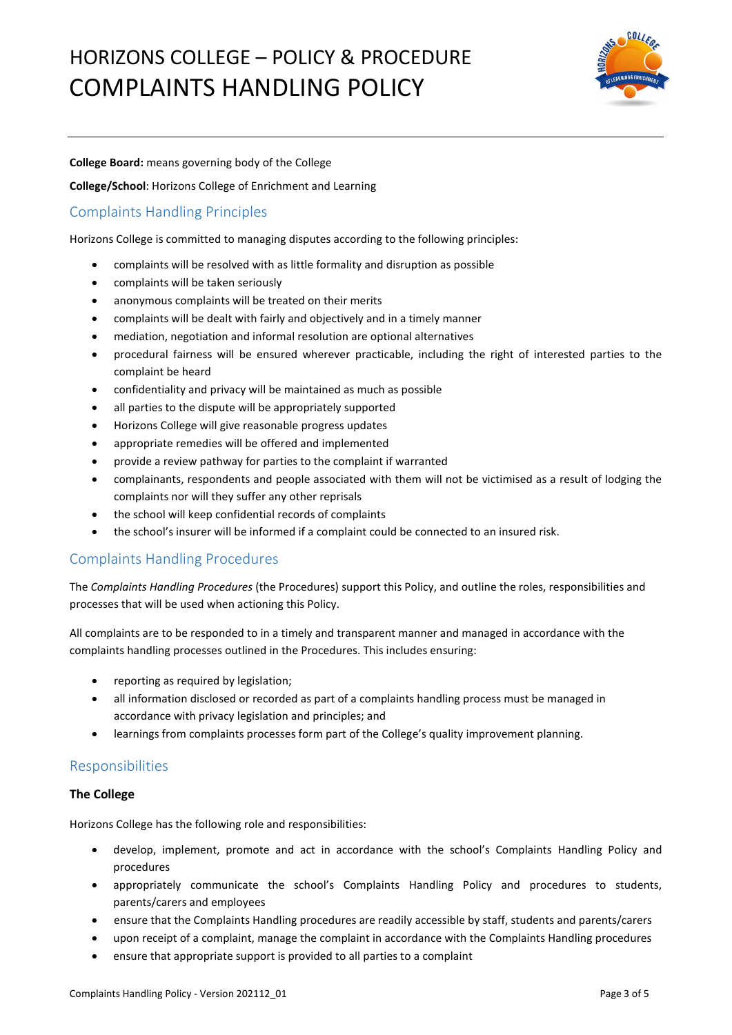

### **College Board:** means governing body of the College

**College/School**: Horizons College of Enrichment and Learning

# Complaints Handling Principles

Horizons College is committed to managing disputes according to the following principles:

- complaints will be resolved with as little formality and disruption as possible
- complaints will be taken seriously
- anonymous complaints will be treated on their merits
- complaints will be dealt with fairly and objectively and in a timely manner
- mediation, negotiation and informal resolution are optional alternatives
- procedural fairness will be ensured wherever practicable, including the right of interested parties to the complaint be heard
- confidentiality and privacy will be maintained as much as possible
- all parties to the dispute will be appropriately supported
- Horizons College will give reasonable progress updates
- appropriate remedies will be offered and implemented
- provide a review pathway for parties to the complaint if warranted
- complainants, respondents and people associated with them will not be victimised as a result of lodging the complaints nor will they suffer any other reprisals
- the school will keep confidential records of complaints
- the school's insurer will be informed if a complaint could be connected to an insured risk.

# Complaints Handling Procedures

The *Complaints Handling Procedures* (the Procedures) support this Policy, and outline the roles, responsibilities and processes that will be used when actioning this Policy.

All complaints are to be responded to in a timely and transparent manner and managed in accordance with the complaints handling processes outlined in the Procedures. This includes ensuring:

- reporting as required by legislation;
- all information disclosed or recorded as part of a complaints handling process must be managed in accordance with privacy legislation and principles; and
- learnings from complaints processes form part of the College's quality improvement planning.

# Responsibilities

## **The College**

Horizons College has the following role and responsibilities:

- develop, implement, promote and act in accordance with the school's Complaints Handling Policy and procedures
- appropriately communicate the school's Complaints Handling Policy and procedures to students, parents/carers and employees
- ensure that the Complaints Handling procedures are readily accessible by staff, students and parents/carers
- upon receipt of a complaint, manage the complaint in accordance with the Complaints Handling procedures
- ensure that appropriate support is provided to all parties to a complaint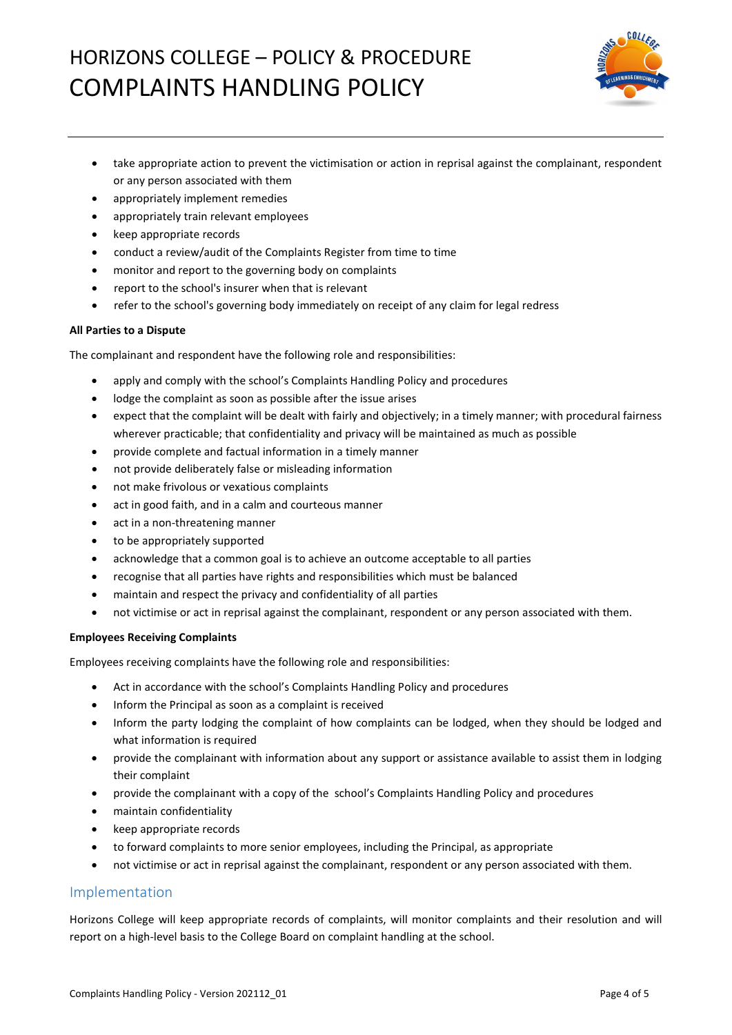

- take appropriate action to prevent the victimisation or action in reprisal against the complainant, respondent or any person associated with them
- appropriately implement remedies
- appropriately train relevant employees
- keep appropriate records
- conduct a review/audit of the Complaints Register from time to time
- monitor and report to the governing body on complaints
- report to the school's insurer when that is relevant
- refer to the school's governing body immediately on receipt of any claim for legal redress

### **All Parties to a Dispute**

The complainant and respondent have the following role and responsibilities:

- apply and comply with the school's Complaints Handling Policy and procedures
- lodge the complaint as soon as possible after the issue arises
- expect that the complaint will be dealt with fairly and objectively; in a timely manner; with procedural fairness wherever practicable; that confidentiality and privacy will be maintained as much as possible
- provide complete and factual information in a timely manner
- not provide deliberately false or misleading information
- not make frivolous or vexatious complaints
- act in good faith, and in a calm and courteous manner
- act in a non-threatening manner
- to be appropriately supported
- acknowledge that a common goal is to achieve an outcome acceptable to all parties
- recognise that all parties have rights and responsibilities which must be balanced
- maintain and respect the privacy and confidentiality of all parties
- not victimise or act in reprisal against the complainant, respondent or any person associated with them.

## **Employees Receiving Complaints**

Employees receiving complaints have the following role and responsibilities:

- Act in accordance with the school's Complaints Handling Policy and procedures
- Inform the Principal as soon as a complaint is received
- Inform the party lodging the complaint of how complaints can be lodged, when they should be lodged and what information is required
- provide the complainant with information about any support or assistance available to assist them in lodging their complaint
- provide the complainant with a copy of the school's Complaints Handling Policy and procedures
- maintain confidentiality
- keep appropriate records
- to forward complaints to more senior employees, including the Principal, as appropriate
- not victimise or act in reprisal against the complainant, respondent or any person associated with them.

# Implementation

Horizons College will keep appropriate records of complaints, will monitor complaints and their resolution and will report on a high-level basis to the College Board on complaint handling at the school.